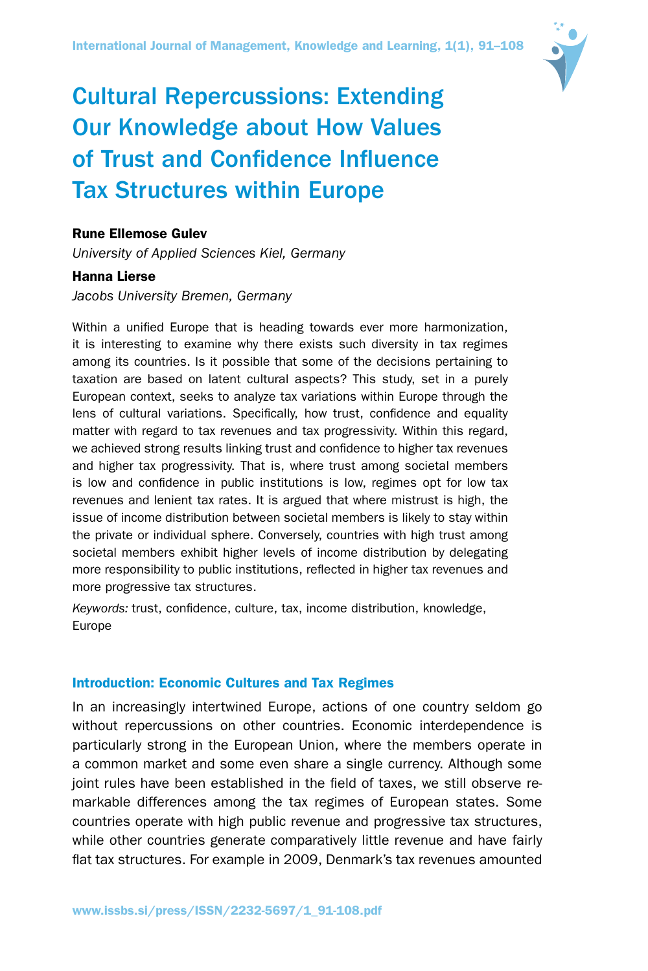

# Cultural Repercussions: Extending Our Knowledge about How Values of Trust and Confidence Influence Tax Structures within Europe

## Rune Ellemose Gulev

*University of Applied Sciences Kiel, Germany*

## Hanna Lierse

## *Jacobs University Bremen, Germany*

Within a unified Europe that is heading towards ever more harmonization, it is interesting to examine why there exists such diversity in tax regimes among its countries. Is it possible that some of the decisions pertaining to taxation are based on latent cultural aspects? This study, set in a purely European context, seeks to analyze tax variations within Europe through the lens of cultural variations. Specifically, how trust, confidence and equality matter with regard to tax revenues and tax progressivity. Within this regard, we achieved strong results linking trust and confidence to higher tax revenues and higher tax progressivity. That is, where trust among societal members is low and confidence in public institutions is low, regimes opt for low tax revenues and lenient tax rates. It is argued that where mistrust is high, the issue of income distribution between societal members is likely to stay within the private or individual sphere. Conversely, countries with high trust among societal members exhibit higher levels of income distribution by delegating more responsibility to public institutions, reflected in higher tax revenues and more progressive tax structures.

*Keywords:* trust, confidence, culture, tax, income distribution, knowledge, Europe

## Introduction: Economic Cultures and Tax Regimes

In an increasingly intertwined Europe, actions of one country seldom go without repercussions on other countries. Economic interdependence is particularly strong in the European Union, where the members operate in a common market and some even share a single currency. Although some joint rules have been established in the field of taxes, we still observe remarkable differences among the tax regimes of European states. Some countries operate with high public revenue and progressive tax structures, while other countries generate comparatively little revenue and have fairly flat tax structures. For example in 2009, Denmark's tax revenues amounted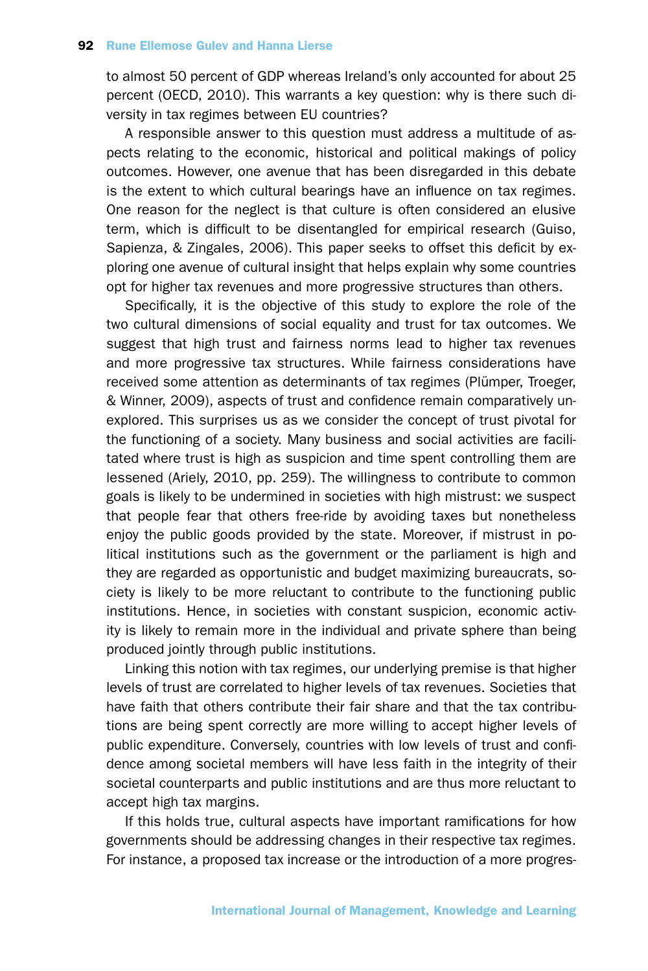to almost 50 percent of GDP whereas Ireland's only accounted for about 25 percent (OECD, 2010). This warrants a key question: why is there such diversity in tax regimes between EU countries?

A responsible answer to this question must address a multitude of aspects relating to the economic, historical and political makings of policy outcomes. However, one avenue that has been disregarded in this debate is the extent to which cultural bearings have an influence on tax regimes. One reason for the neglect is that culture is often considered an elusive term, which is difficult to be disentangled for empirical research (Guiso, Sapienza, & Zingales, 2006). This paper seeks to offset this deficit by exploring one avenue of cultural insight that helps explain why some countries opt for higher tax revenues and more progressive structures than others.

Specifically, it is the objective of this study to explore the role of the two cultural dimensions of social equality and trust for tax outcomes. We suggest that high trust and fairness norms lead to higher tax revenues and more progressive tax structures. While fairness considerations have received some attention as determinants of tax regimes (Plümper, Troeger, & Winner, 2009), aspects of trust and confidence remain comparatively unexplored. This surprises us as we consider the concept of trust pivotal for the functioning of a society. Many business and social activities are facilitated where trust is high as suspicion and time spent controlling them are lessened (Ariely, 2010, pp. 259). The willingness to contribute to common goals is likely to be undermined in societies with high mistrust: we suspect that people fear that others free-ride by avoiding taxes but nonetheless enjoy the public goods provided by the state. Moreover, if mistrust in political institutions such as the government or the parliament is high and they are regarded as opportunistic and budget maximizing bureaucrats, society is likely to be more reluctant to contribute to the functioning public institutions. Hence, in societies with constant suspicion, economic activity is likely to remain more in the individual and private sphere than being produced jointly through public institutions.

Linking this notion with tax regimes, our underlying premise is that higher levels of trust are correlated to higher levels of tax revenues. Societies that have faith that others contribute their fair share and that the tax contributions are being spent correctly are more willing to accept higher levels of public expenditure. Conversely, countries with low levels of trust and confidence among societal members will have less faith in the integrity of their societal counterparts and public institutions and are thus more reluctant to accept high tax margins.

If this holds true, cultural aspects have important ramifications for how governments should be addressing changes in their respective tax regimes. For instance, a proposed tax increase or the introduction of a more progres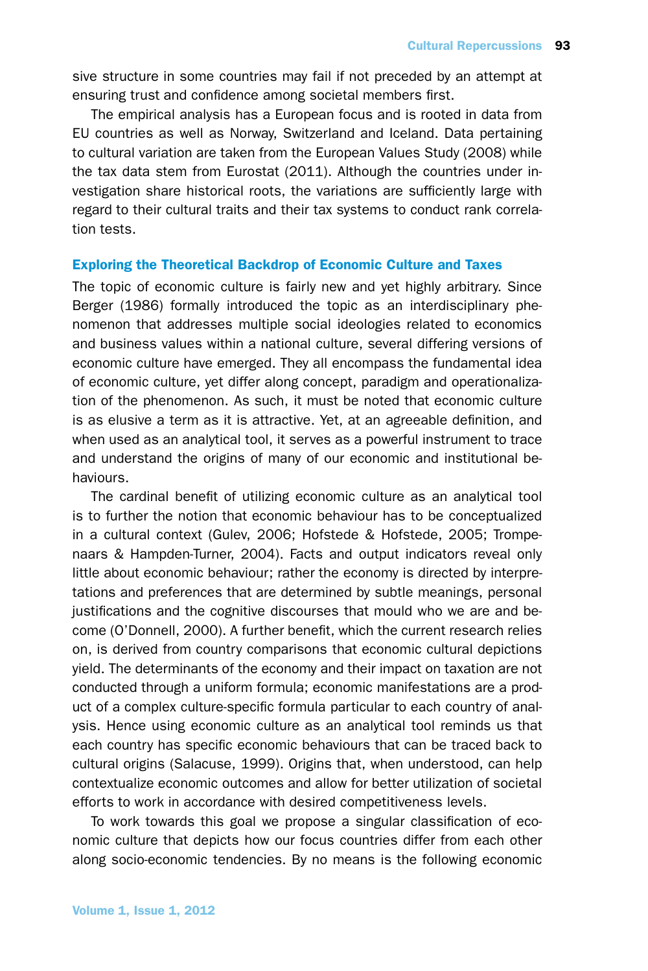sive structure in some countries may fail if not preceded by an attempt at ensuring trust and confidence among societal members first.

The empirical analysis has a European focus and is rooted in data from EU countries as well as Norway, Switzerland and Iceland. Data pertaining to cultural variation are taken from the European Values Study (2008) while the tax data stem from Eurostat (2011). Although the countries under investigation share historical roots, the variations are sufficiently large with regard to their cultural traits and their tax systems to conduct rank correlation tests.

#### Exploring the Theoretical Backdrop of Economic Culture and Taxes

The topic of economic culture is fairly new and yet highly arbitrary. Since Berger (1986) formally introduced the topic as an interdisciplinary phenomenon that addresses multiple social ideologies related to economics and business values within a national culture, several differing versions of economic culture have emerged. They all encompass the fundamental idea of economic culture, yet differ along concept, paradigm and operationalization of the phenomenon. As such, it must be noted that economic culture is as elusive a term as it is attractive. Yet, at an agreeable definition, and when used as an analytical tool, it serves as a powerful instrument to trace and understand the origins of many of our economic and institutional behaviours.

The cardinal benefit of utilizing economic culture as an analytical tool is to further the notion that economic behaviour has to be conceptualized in a cultural context (Gulev, 2006; Hofstede & Hofstede, 2005; Trompenaars & Hampden-Turner, 2004). Facts and output indicators reveal only little about economic behaviour; rather the economy is directed by interpretations and preferences that are determined by subtle meanings, personal justifications and the cognitive discourses that mould who we are and become (O'Donnell, 2000). A further benefit, which the current research relies on, is derived from country comparisons that economic cultural depictions yield. The determinants of the economy and their impact on taxation are not conducted through a uniform formula; economic manifestations are a product of a complex culture-specific formula particular to each country of analysis. Hence using economic culture as an analytical tool reminds us that each country has specific economic behaviours that can be traced back to cultural origins (Salacuse, 1999). Origins that, when understood, can help contextualize economic outcomes and allow for better utilization of societal efforts to work in accordance with desired competitiveness levels.

To work towards this goal we propose a singular classification of economic culture that depicts how our focus countries differ from each other along socio-economic tendencies. By no means is the following economic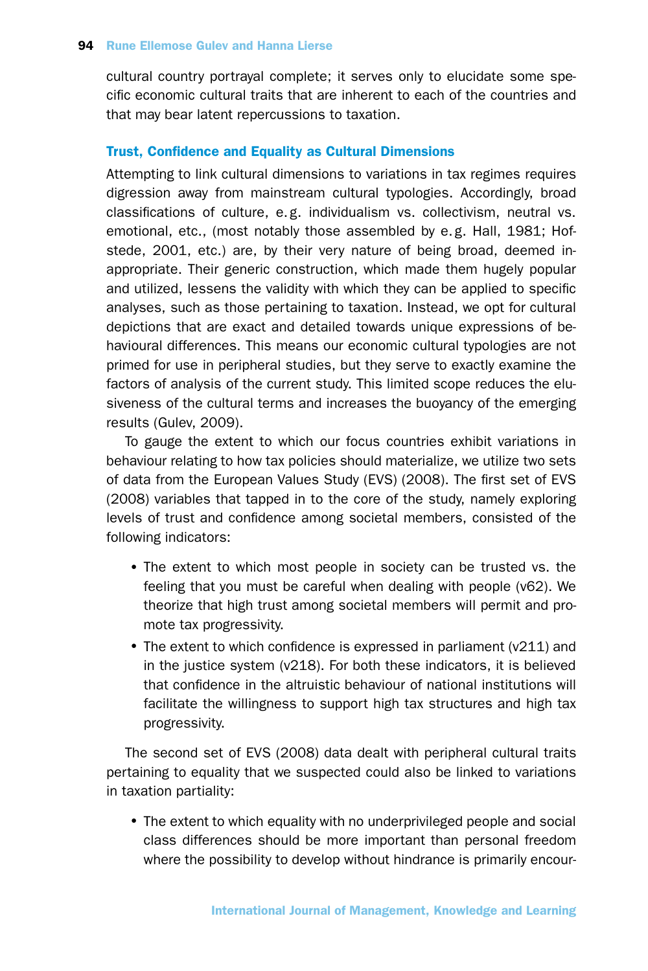cultural country portrayal complete; it serves only to elucidate some specific economic cultural traits that are inherent to each of the countries and that may bear latent repercussions to taxation.

## Trust, Confidence and Equality as Cultural Dimensions

Attempting to link cultural dimensions to variations in tax regimes requires digression away from mainstream cultural typologies. Accordingly, broad classifications of culture, e.g. individualism vs. collectivism, neutral vs. emotional, etc., (most notably those assembled by e. g. Hall, 1981; Hofstede, 2001, etc.) are, by their very nature of being broad, deemed inappropriate. Their generic construction, which made them hugely popular and utilized, lessens the validity with which they can be applied to specific analyses, such as those pertaining to taxation. Instead, we opt for cultural depictions that are exact and detailed towards unique expressions of behavioural differences. This means our economic cultural typologies are not primed for use in peripheral studies, but they serve to exactly examine the factors of analysis of the current study. This limited scope reduces the elusiveness of the cultural terms and increases the buoyancy of the emerging results (Gulev, 2009).

To gauge the extent to which our focus countries exhibit variations in behaviour relating to how tax policies should materialize, we utilize two sets of data from the European Values Study (EVS) (2008). The first set of EVS (2008) variables that tapped in to the core of the study, namely exploring levels of trust and confidence among societal members, consisted of the following indicators:

- The extent to which most people in society can be trusted vs. the feeling that you must be careful when dealing with people (v62). We theorize that high trust among societal members will permit and promote tax progressivity.
- The extent to which confidence is expressed in parliament (v211) and in the justice system (v218). For both these indicators, it is believed that confidence in the altruistic behaviour of national institutions will facilitate the willingness to support high tax structures and high tax progressivity.

The second set of EVS (2008) data dealt with peripheral cultural traits pertaining to equality that we suspected could also be linked to variations in taxation partiality:

• The extent to which equality with no underprivileged people and social class differences should be more important than personal freedom where the possibility to develop without hindrance is primarily encour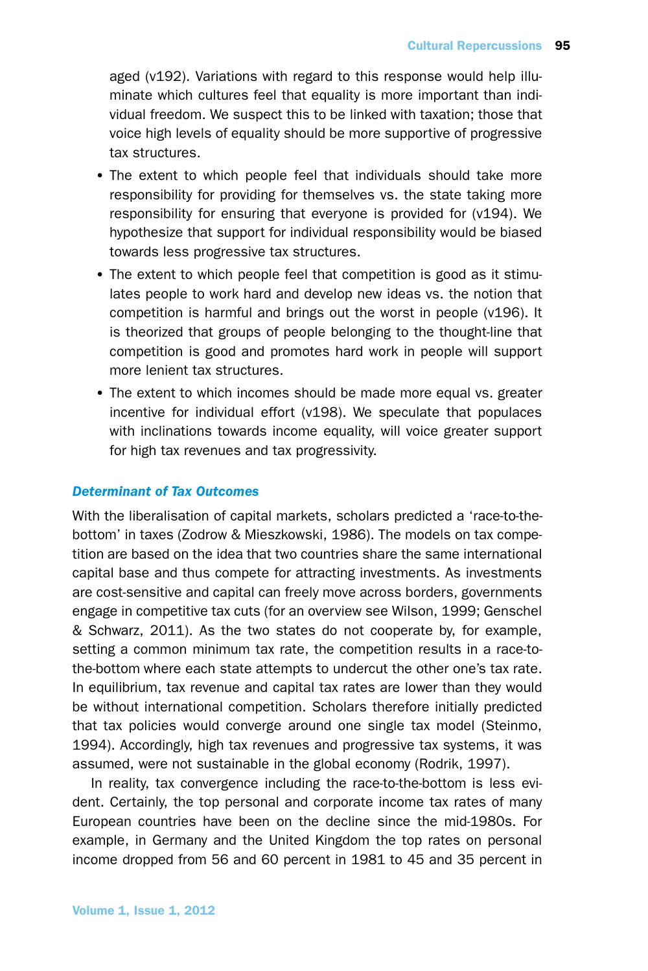aged (v192). Variations with regard to this response would help illuminate which cultures feel that equality is more important than individual freedom. We suspect this to be linked with taxation; those that voice high levels of equality should be more supportive of progressive tax structures.

- •The extent to which people feel that individuals should take more responsibility for providing for themselves vs. the state taking more responsibility for ensuring that everyone is provided for (v194). We hypothesize that support for individual responsibility would be biased towards less progressive tax structures.
- The extent to which people feel that competition is good as it stimulates people to work hard and develop new ideas vs. the notion that competition is harmful and brings out the worst in people (v196). It is theorized that groups of people belonging to the thought-line that competition is good and promotes hard work in people will support more lenient tax structures.
- The extent to which incomes should be made more equal vs. greater incentive for individual effort (v198). We speculate that populaces with inclinations towards income equality, will voice greater support for high tax revenues and tax progressivity.

## *Determinant of Tax Outcomes*

With the liberalisation of capital markets, scholars predicted a 'race-to-thebottom' in taxes (Zodrow & Mieszkowski, 1986). The models on tax competition are based on the idea that two countries share the same international capital base and thus compete for attracting investments. As investments are cost-sensitive and capital can freely move across borders, governments engage in competitive tax cuts (for an overview see Wilson, 1999; Genschel & Schwarz, 2011). As the two states do not cooperate by, for example, setting a common minimum tax rate, the competition results in a race-tothe-bottom where each state attempts to undercut the other one's tax rate. In equilibrium, tax revenue and capital tax rates are lower than they would be without international competition. Scholars therefore initially predicted that tax policies would converge around one single tax model (Steinmo, 1994). Accordingly, high tax revenues and progressive tax systems, it was assumed, were not sustainable in the global economy (Rodrik, 1997).

In reality, tax convergence including the race-to-the-bottom is less evident. Certainly, the top personal and corporate income tax rates of many European countries have been on the decline since the mid-1980s. For example, in Germany and the United Kingdom the top rates on personal income dropped from 56 and 60 percent in 1981 to 45 and 35 percent in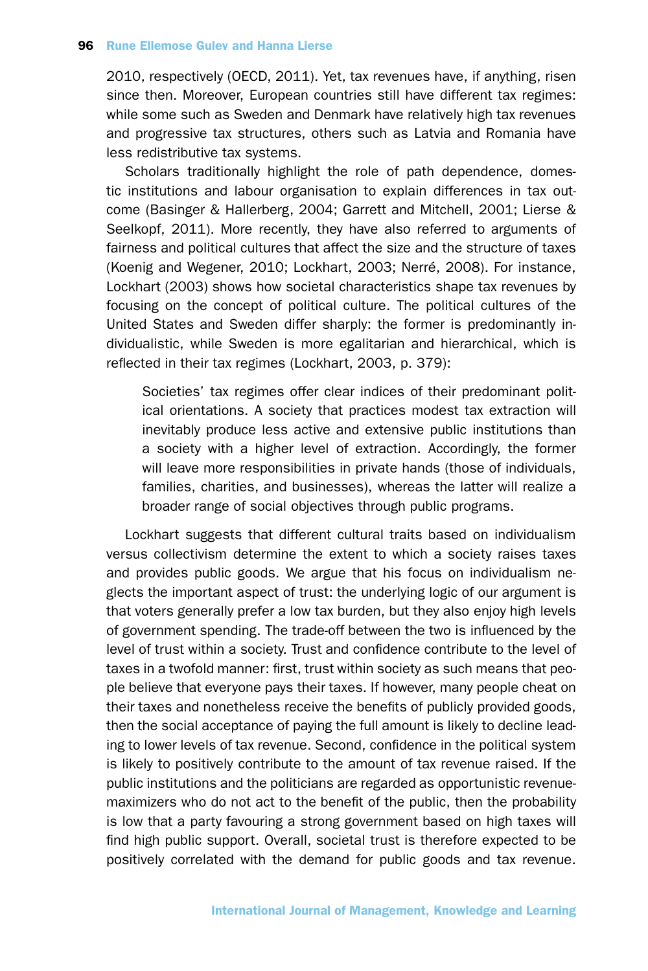2010, respectively (OECD, 2011). Yet, tax revenues have, if anything, risen since then. Moreover, European countries still have different tax regimes: while some such as Sweden and Denmark have relatively high tax revenues and progressive tax structures, others such as Latvia and Romania have less redistributive tax systems.

Scholars traditionally highlight the role of path dependence, domestic institutions and labour organisation to explain differences in tax outcome (Basinger & Hallerberg, 2004; Garrett and Mitchell, 2001; Lierse & Seelkopf, 2011). More recently, they have also referred to arguments of fairness and political cultures that affect the size and the structure of taxes (Koenig and Wegener, 2010; Lockhart, 2003; Nerré, 2008). For instance, Lockhart (2003) shows how societal characteristics shape tax revenues by focusing on the concept of political culture. The political cultures of the United States and Sweden differ sharply: the former is predominantly individualistic, while Sweden is more egalitarian and hierarchical, which is reflected in their tax regimes (Lockhart, 2003, p. 379):

Societies' tax regimes offer clear indices of their predominant political orientations. A society that practices modest tax extraction will inevitably produce less active and extensive public institutions than a society with a higher level of extraction. Accordingly, the former will leave more responsibilities in private hands (those of individuals, families, charities, and businesses), whereas the latter will realize a broader range of social objectives through public programs.

Lockhart suggests that different cultural traits based on individualism versus collectivism determine the extent to which a society raises taxes and provides public goods. We argue that his focus on individualism neglects the important aspect of trust: the underlying logic of our argument is that voters generally prefer a low tax burden, but they also enjoy high levels of government spending. The trade-off between the two is influenced by the level of trust within a society. Trust and confidence contribute to the level of taxes in a twofold manner: first, trust within society as such means that people believe that everyone pays their taxes. If however, many people cheat on their taxes and nonetheless receive the benefits of publicly provided goods, then the social acceptance of paying the full amount is likely to decline leading to lower levels of tax revenue. Second, confidence in the political system is likely to positively contribute to the amount of tax revenue raised. If the public institutions and the politicians are regarded as opportunistic revenuemaximizers who do not act to the benefit of the public, then the probability is low that a party favouring a strong government based on high taxes will find high public support. Overall, societal trust is therefore expected to be positively correlated with the demand for public goods and tax revenue.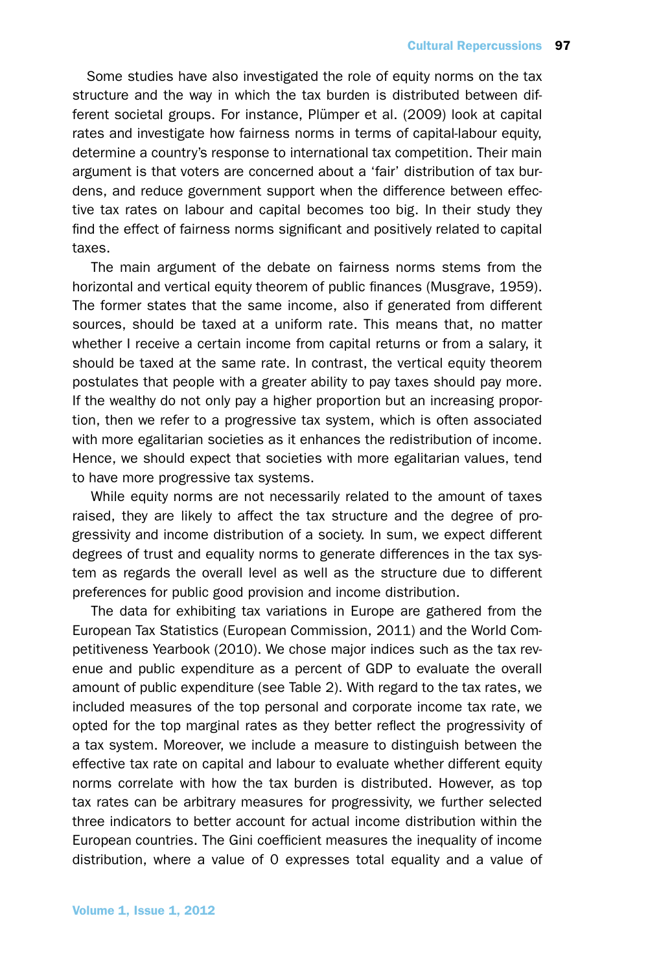Some studies have also investigated the role of equity norms on the tax structure and the way in which the tax burden is distributed between different societal groups. For instance, Plümper et al. (2009) look at capital rates and investigate how fairness norms in terms of capital-labour equity, determine a country's response to international tax competition. Their main argument is that voters are concerned about a 'fair' distribution of tax burdens, and reduce government support when the difference between effective tax rates on labour and capital becomes too big. In their study they find the effect of fairness norms significant and positively related to capital taxes.

The main argument of the debate on fairness norms stems from the horizontal and vertical equity theorem of public finances (Musgrave, 1959). The former states that the same income, also if generated from different sources, should be taxed at a uniform rate. This means that, no matter whether I receive a certain income from capital returns or from a salary, it should be taxed at the same rate. In contrast, the vertical equity theorem postulates that people with a greater ability to pay taxes should pay more. If the wealthy do not only pay a higher proportion but an increasing proportion, then we refer to a progressive tax system, which is often associated with more egalitarian societies as it enhances the redistribution of income. Hence, we should expect that societies with more egalitarian values, tend to have more progressive tax systems.

While equity norms are not necessarily related to the amount of taxes raised, they are likely to affect the tax structure and the degree of progressivity and income distribution of a society. In sum, we expect different degrees of trust and equality norms to generate differences in the tax system as regards the overall level as well as the structure due to different preferences for public good provision and income distribution.

The data for exhibiting tax variations in Europe are gathered from the European Tax Statistics (European Commission, 2011) and the World Competitiveness Yearbook (2010). We chose major indices such as the tax revenue and public expenditure as a percent of GDP to evaluate the overall amount of public expenditure (see Table 2). With regard to the tax rates, we included measures of the top personal and corporate income tax rate, we opted for the top marginal rates as they better reflect the progressivity of a tax system. Moreover, we include a measure to distinguish between the effective tax rate on capital and labour to evaluate whether different equity norms correlate with how the tax burden is distributed. However, as top tax rates can be arbitrary measures for progressivity, we further selected three indicators to better account for actual income distribution within the European countries. The Gini coefficient measures the inequality of income distribution, where a value of 0 expresses total equality and a value of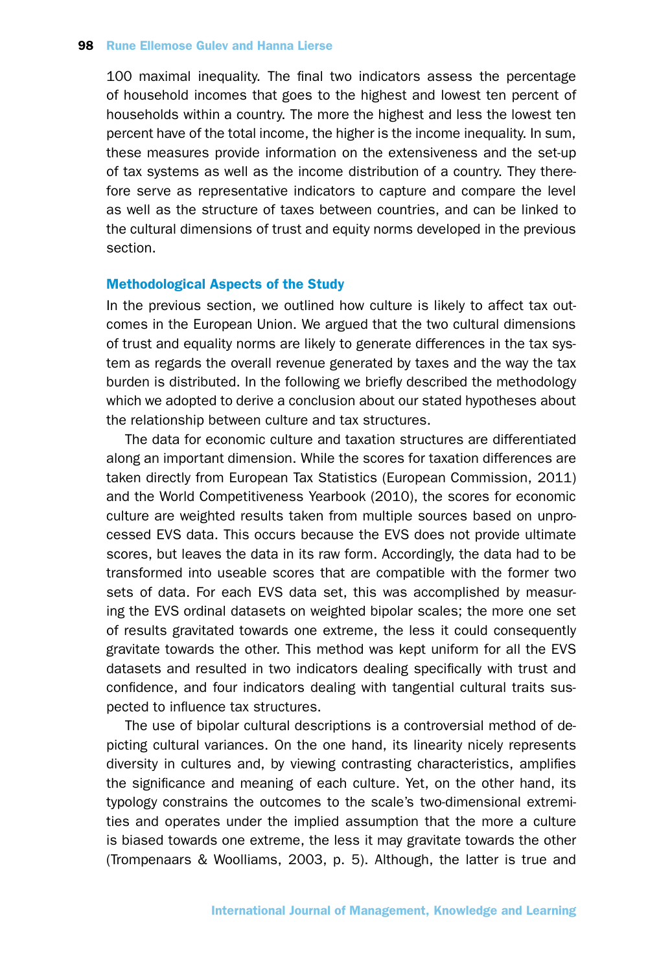#### **98 Rune Ellemose Gulev and Hanna Lierse**

100 maximal inequality. The final two indicators assess the percentage of household incomes that goes to the highest and lowest ten percent of households within a country. The more the highest and less the lowest ten percent have of the total income, the higher is the income inequality. In sum, these measures provide information on the extensiveness and the set-up of tax systems as well as the income distribution of a country. They therefore serve as representative indicators to capture and compare the level as well as the structure of taxes between countries, and can be linked to the cultural dimensions of trust and equity norms developed in the previous section.

#### Methodological Aspects of the Study

In the previous section, we outlined how culture is likely to affect tax outcomes in the European Union. We argued that the two cultural dimensions of trust and equality norms are likely to generate differences in the tax system as regards the overall revenue generated by taxes and the way the tax burden is distributed. In the following we briefly described the methodology which we adopted to derive a conclusion about our stated hypotheses about the relationship between culture and tax structures.

The data for economic culture and taxation structures are differentiated along an important dimension. While the scores for taxation differences are taken directly from European Tax Statistics (European Commission, 2011) and the World Competitiveness Yearbook (2010), the scores for economic culture are weighted results taken from multiple sources based on unprocessed EVS data. This occurs because the EVS does not provide ultimate scores, but leaves the data in its raw form. Accordingly, the data had to be transformed into useable scores that are compatible with the former two sets of data. For each EVS data set, this was accomplished by measuring the EVS ordinal datasets on weighted bipolar scales; the more one set of results gravitated towards one extreme, the less it could consequently gravitate towards the other. This method was kept uniform for all the EVS datasets and resulted in two indicators dealing specifically with trust and confidence, and four indicators dealing with tangential cultural traits suspected to influence tax structures.

The use of bipolar cultural descriptions is a controversial method of depicting cultural variances. On the one hand, its linearity nicely represents diversity in cultures and, by viewing contrasting characteristics, amplifies the significance and meaning of each culture. Yet, on the other hand, its typology constrains the outcomes to the scale's two-dimensional extremities and operates under the implied assumption that the more a culture is biased towards one extreme, the less it may gravitate towards the other (Trompenaars & Woolliams, 2003, p. 5). Although, the latter is true and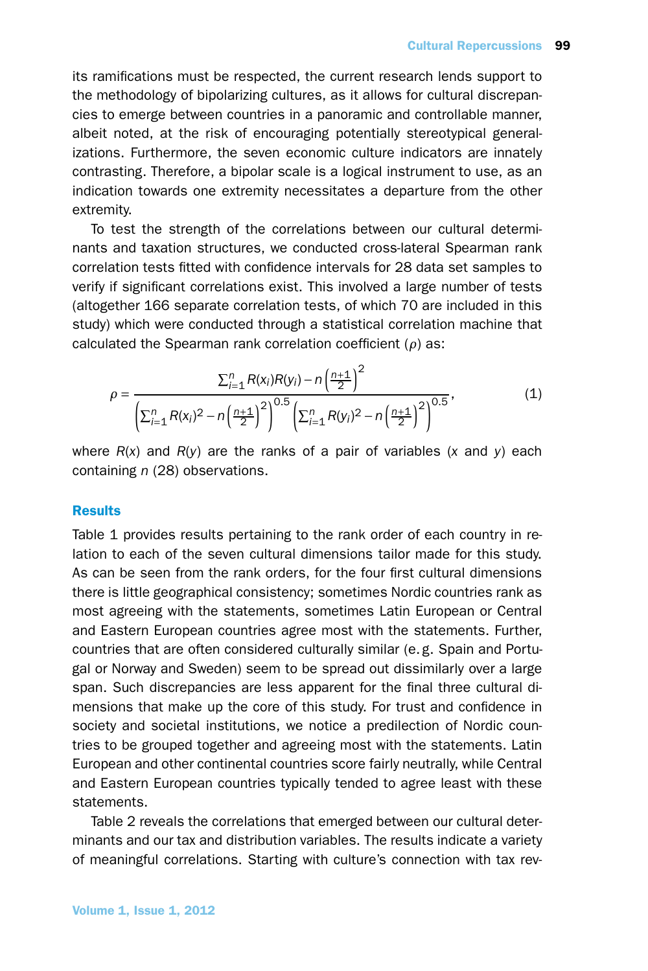its ramifications must be respected, the current research lends support to the methodology of bipolarizing cultures, as it allows for cultural discrepancies to emerge between countries in a panoramic and controllable manner, albeit noted, at the risk of encouraging potentially stereotypical generalizations. Furthermore, the seven economic culture indicators are innately contrasting. Therefore, a bipolar scale is a logical instrument to use, as an indication towards one extremity necessitates a departure from the other extremity.

To test the strength of the correlations between our cultural determinants and taxation structures, we conducted cross-lateral Spearman rank correlation tests fitted with confidence intervals for 28 data set samples to verify if significant correlations exist. This involved a large number of tests (altogether 166 separate correlation tests, of which 70 are included in this study) which were conducted through a statistical correlation machine that calculated the Spearman rank correlation coefficient (*ρ*) as:

$$
\rho = \frac{\sum_{i=1}^{n} R(x_i)R(y_i) - n\left(\frac{n+1}{2}\right)^2}{\left(\sum_{i=1}^{n} R(x_i)^2 - n\left(\frac{n+1}{2}\right)^2\right)^{0.5} \left(\sum_{i=1}^{n} R(y_i)^2 - n\left(\frac{n+1}{2}\right)^2\right)^{0.5}},
$$
\n(1)

where *R*(*x*) and *R*(*y*) are the ranks of a pair of variables (*x* and *y*) each containing *n* (28) observations.

## **Results**

Table 1 provides results pertaining to the rank order of each country in relation to each of the seven cultural dimensions tailor made for this study. As can be seen from the rank orders, for the four first cultural dimensions there is little geographical consistency; sometimes Nordic countries rank as most agreeing with the statements, sometimes Latin European or Central and Eastern European countries agree most with the statements. Further, countries that are often considered culturally similar (e. g. Spain and Portugal or Norway and Sweden) seem to be spread out dissimilarly over a large span. Such discrepancies are less apparent for the final three cultural dimensions that make up the core of this study. For trust and confidence in society and societal institutions, we notice a predilection of Nordic countries to be grouped together and agreeing most with the statements. Latin European and other continental countries score fairly neutrally, while Central and Eastern European countries typically tended to agree least with these statements.

Table 2 reveals the correlations that emerged between our cultural determinants and our tax and distribution variables. The results indicate a variety of meaningful correlations. Starting with culture's connection with tax rev-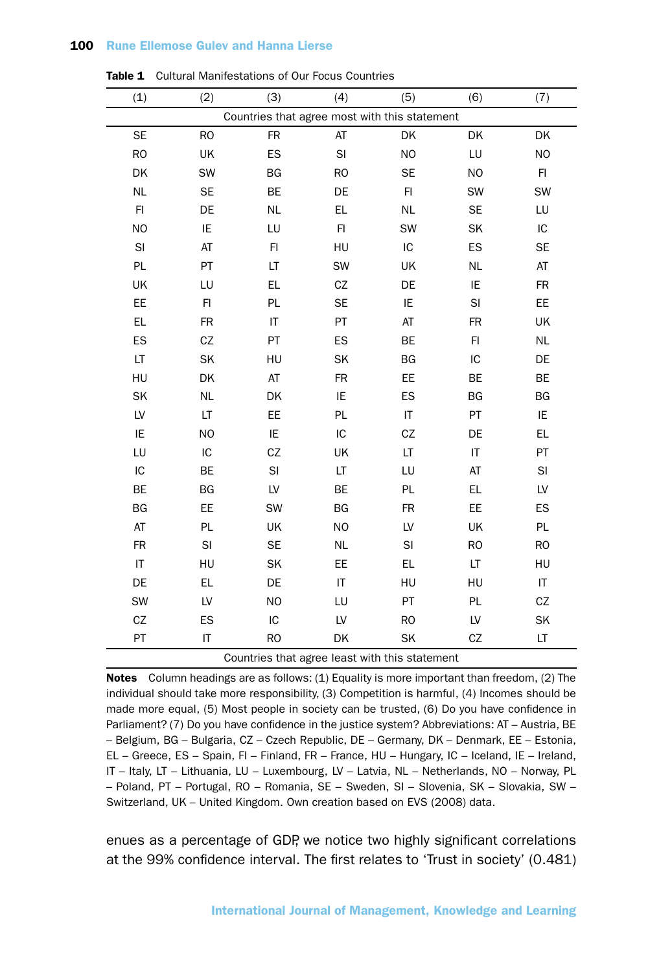### 100 Rune Ellemose Gulev and Hanna Lierse

| (1)                                            | (2)            | (3)            | (4)            | (5)                    | (6)       | (7)       |  |  |  |  |  |
|------------------------------------------------|----------------|----------------|----------------|------------------------|-----------|-----------|--|--|--|--|--|
| Countries that agree most with this statement  |                |                |                |                        |           |           |  |  |  |  |  |
| <b>SE</b>                                      | <b>RO</b>      | <b>FR</b>      | AT             | DK                     | DK        | DK        |  |  |  |  |  |
| <b>RO</b>                                      | UK             | ES             | SI             | <b>NO</b>              | LU        | NO        |  |  |  |  |  |
| DK                                             | SW             | BG             | <b>RO</b>      | <b>SE</b>              | <b>NO</b> | FI        |  |  |  |  |  |
| <b>NL</b>                                      | <b>SE</b>      | BE             | DE             | F1                     | SW        | SW        |  |  |  |  |  |
| $\mathsf{Fl}$                                  | DE             | <b>NL</b>      | EL             | <b>NL</b>              | <b>SE</b> | LU        |  |  |  |  |  |
| <b>NO</b>                                      | IE             | LU             | F1             | SW                     | SK        | IC        |  |  |  |  |  |
| $\mathsf{SI}$                                  | AT             | F1             | HU             | IC                     | ES        | <b>SE</b> |  |  |  |  |  |
| PL                                             | PT             | LT             | SW             | UK                     | <b>NL</b> | AT        |  |  |  |  |  |
| UK                                             | LU             | EL.            | CZ             | DE                     | IE        | FR        |  |  |  |  |  |
| EE                                             | F1             | PL             | <b>SE</b>      | IE                     | SI        | EE        |  |  |  |  |  |
| EL                                             | FR             | IT             | PT             | AT                     | FR        | UK        |  |  |  |  |  |
| ES                                             | CZ             | PT             | ES             | BE                     | F1        | <b>NL</b> |  |  |  |  |  |
| LT                                             | SK             | HU             | SK             | BG                     | IC        | DE        |  |  |  |  |  |
| HU                                             | DK             | AT             | <b>FR</b>      | EE                     | <b>BE</b> | BE        |  |  |  |  |  |
| SK                                             | <b>NL</b>      | DK             | IE             | ES                     | BG        | BG        |  |  |  |  |  |
| LV                                             | LT             | EE             | PL             | $\mathsf{I}\mathsf{T}$ | PT        | IE        |  |  |  |  |  |
| IE                                             | N <sub>O</sub> | IE             | IC             | CZ                     | DE        | EL        |  |  |  |  |  |
| LU                                             | IC             | CZ             | UK             | LT                     | IT        | PT        |  |  |  |  |  |
| IC                                             | BE             | $\mathsf{SI}$  | LT             | LU                     | AT        | SI        |  |  |  |  |  |
| BE                                             | <b>BG</b>      | LV             | BE             | PL                     | EL        | LV        |  |  |  |  |  |
| BG                                             | EE             | SW             | BG             | <b>FR</b>              | EE        | ES        |  |  |  |  |  |
| AT                                             | PL             | UK             | N <sub>O</sub> | LV                     | UK        | PL        |  |  |  |  |  |
| FR                                             | SI             | <b>SE</b>      | <b>NL</b>      | $\mathsf{SI}$          | <b>RO</b> | <b>RO</b> |  |  |  |  |  |
| IT                                             | HU             | SK             | EE             | EL                     | LT        | HU        |  |  |  |  |  |
| DE                                             | EL.            | DE             | IT             | HU                     | HU        | $\sf IT$  |  |  |  |  |  |
| SW                                             | LV             | N <sub>O</sub> | LU             | PT                     | PL        | CZ        |  |  |  |  |  |
| CZ                                             | ES             | IC             | LV             | <b>RO</b>              | LV        | SK        |  |  |  |  |  |
| PT                                             | IT             | <b>RO</b>      | DK             | SK                     | CZ        | LT        |  |  |  |  |  |
| Countries that agree least with this statement |                |                |                |                        |           |           |  |  |  |  |  |

Table 1 Cultural Manifestations of Our Focus Countries

Notes Column headings are as follows: (1) Equality is more important than freedom, (2) The individual should take more responsibility, (3) Competition is harmful, (4) Incomes should be made more equal, (5) Most people in society can be trusted, (6) Do you have confidence in Parliament? (7) Do you have confidence in the justice system? Abbreviations: AT – Austria, BE – Belgium, BG – Bulgaria, CZ – Czech Republic, DE – Germany, DK – Denmark, EE – Estonia, EL – Greece, ES – Spain, FI – Finland, FR – France, HU – Hungary, IC – Iceland, IE – Ireland, IT – Italy, LT – Lithuania, LU – Luxembourg, LV – Latvia, NL – Netherlands, NO – Norway, PL – Poland, PT – Portugal, RO – Romania, SE – Sweden, SI – Slovenia, SK – Slovakia, SW – Switzerland, UK – United Kingdom. Own creation based on EVS (2008) data.

enues as a percentage of GDP, we notice two highly significant correlations at the 99% confidence interval. The first relates to 'Trust in society' (0.481)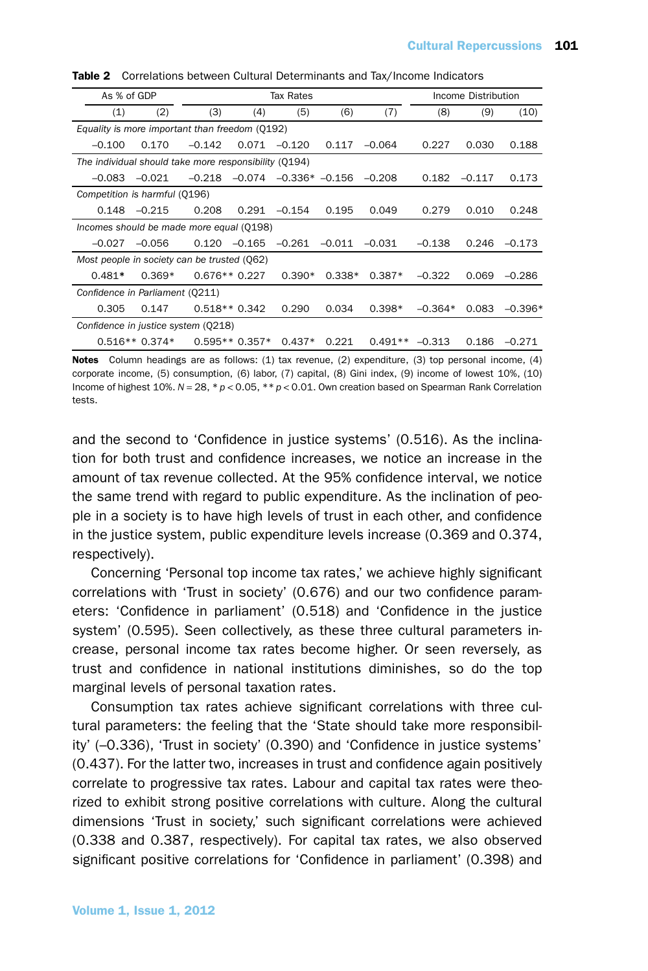| As % of GDP                                           |                 | Tax Rates      |                 |                  |          |           | Income Distribution |          |           |  |  |  |  |
|-------------------------------------------------------|-----------------|----------------|-----------------|------------------|----------|-----------|---------------------|----------|-----------|--|--|--|--|
| (1)                                                   | (2)             | (3)            | (4)             | (5)              | (6)      | (7)       | (8)                 | (9)      | (10)      |  |  |  |  |
| Equality is more important than freedom (0192)        |                 |                |                 |                  |          |           |                     |          |           |  |  |  |  |
| $-0.100$                                              | 0.170           | $-0.142$       | 0.071           | $-0.120$         | 0.117    | $-0.064$  | 0.227               | 0.030    | 0.188     |  |  |  |  |
| The individual should take more responsibility (0194) |                 |                |                 |                  |          |           |                     |          |           |  |  |  |  |
| $-0.083$                                              | $-0.021$        | $-0.218$       | $-0.074$        | $-0.336* -0.156$ |          | $-0.208$  | 0.182               | $-0.117$ | 0.173     |  |  |  |  |
| Competition is harmful (Q196)                         |                 |                |                 |                  |          |           |                     |          |           |  |  |  |  |
| 0.148                                                 | $-0.215$        | 0.208          | 0.291           | $-0.154$         | 0.195    | 0.049     | 0.279               | 0.010    | 0.248     |  |  |  |  |
| Incomes should be made more equal (Q198)              |                 |                |                 |                  |          |           |                     |          |           |  |  |  |  |
| $-0.027$                                              | $-0.056$        | 0.120          | $-0.165$        | $-0.261$         | $-0.011$ | $-0.031$  | $-0.138$            | 0.246    | $-0.173$  |  |  |  |  |
| Most people in society can be trusted (062)           |                 |                |                 |                  |          |           |                     |          |           |  |  |  |  |
| $0.481*$                                              | $0.369*$        | $0.676**0.227$ |                 | $0.390*$         | $0.338*$ | $0.387*$  | $-0.322$            | 0.069    | $-0.286$  |  |  |  |  |
| Confidence in Parliament (0211)                       |                 |                |                 |                  |          |           |                     |          |           |  |  |  |  |
| 0.305                                                 | 0.147           | $0.518**0.342$ |                 | 0.290            | 0.034    | $0.398*$  | $-0.364*$           | 0.083    | $-0.396*$ |  |  |  |  |
| Confidence in justice system (0218)                   |                 |                |                 |                  |          |           |                     |          |           |  |  |  |  |
|                                                       | $0.516**0.374*$ |                | $0.595**0.357*$ | $0.437*$         | 0.221    | $0.491**$ | $-0.313$            | 0.186    | $-0.271$  |  |  |  |  |

Table 2 Correlations between Cultural Determinants and Tax/Income Indicators

Notes Column headings are as follows: (1) tax revenue, (2) expenditure, (3) top personal income, (4) corporate income, (5) consumption, (6) labor, (7) capital, (8) Gini index, (9) income of lowest 10%, (10) Income of highest 10%. *N =* 28, \**p <* 0.05, \*\**p <* 0.01. Own creation based on Spearman Rank Correlation tests.

and the second to 'Confidence in justice systems' (0.516). As the inclination for both trust and confidence increases, we notice an increase in the amount of tax revenue collected. At the 95% confidence interval, we notice the same trend with regard to public expenditure. As the inclination of people in a society is to have high levels of trust in each other, and confidence in the justice system, public expenditure levels increase (0.369 and 0.374, respectively).

Concerning 'Personal top income tax rates,' we achieve highly significant correlations with 'Trust in society' (0.676) and our two confidence parameters: 'Confidence in parliament' (0.518) and 'Confidence in the justice system' (0.595). Seen collectively, as these three cultural parameters increase, personal income tax rates become higher. Or seen reversely, as trust and confidence in national institutions diminishes, so do the top marginal levels of personal taxation rates.

Consumption tax rates achieve significant correlations with three cultural parameters: the feeling that the 'State should take more responsibility' (–0.336), 'Trust in society' (0.390) and 'Confidence in justice systems' (0.437). For the latter two, increases in trust and confidence again positively correlate to progressive tax rates. Labour and capital tax rates were theorized to exhibit strong positive correlations with culture. Along the cultural dimensions 'Trust in society,' such significant correlations were achieved (0.338 and 0.387, respectively). For capital tax rates, we also observed significant positive correlations for 'Confidence in parliament' (0.398) and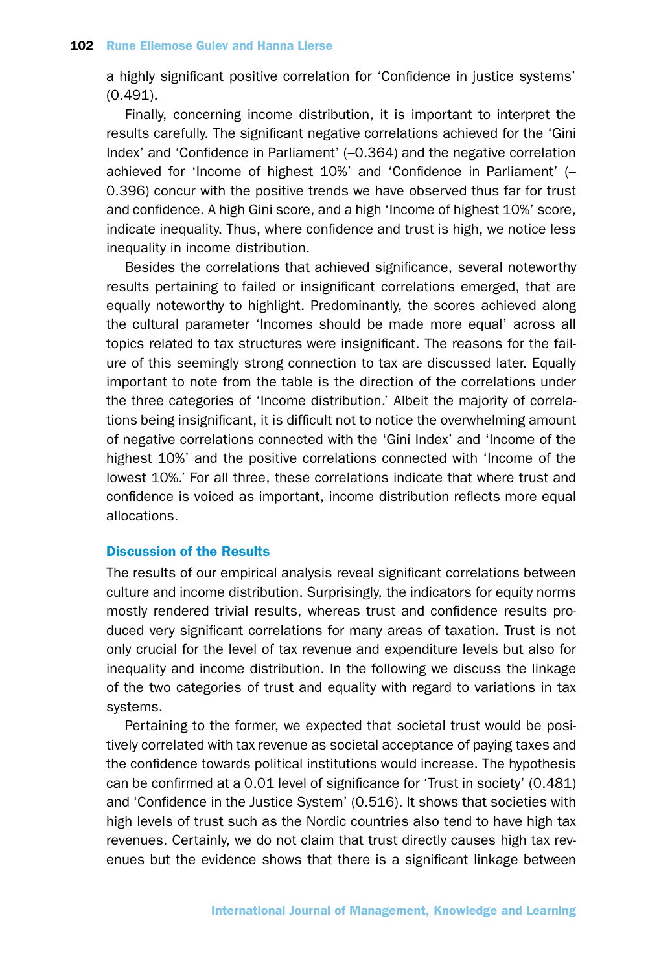a highly significant positive correlation for 'Confidence in justice systems' (0.491).

Finally, concerning income distribution, it is important to interpret the results carefully. The significant negative correlations achieved for the 'Gini Index' and 'Confidence in Parliament' (–0.364) and the negative correlation achieved for 'Income of highest 10%' and 'Confidence in Parliament' (– 0.396) concur with the positive trends we have observed thus far for trust and confidence. A high Gini score, and a high 'Income of highest 10%' score, indicate inequality. Thus, where confidence and trust is high, we notice less inequality in income distribution.

Besides the correlations that achieved significance, several noteworthy results pertaining to failed or insignificant correlations emerged, that are equally noteworthy to highlight. Predominantly, the scores achieved along the cultural parameter 'Incomes should be made more equal' across all topics related to tax structures were insignificant. The reasons for the failure of this seemingly strong connection to tax are discussed later. Equally important to note from the table is the direction of the correlations under the three categories of 'Income distribution.' Albeit the majority of correlations being insignificant, it is difficult not to notice the overwhelming amount of negative correlations connected with the 'Gini Index' and 'Income of the highest 10%' and the positive correlations connected with 'Income of the lowest 10%.' For all three, these correlations indicate that where trust and confidence is voiced as important, income distribution reflects more equal allocations.

## Discussion of the Results

The results of our empirical analysis reveal significant correlations between culture and income distribution. Surprisingly, the indicators for equity norms mostly rendered trivial results, whereas trust and confidence results produced very significant correlations for many areas of taxation. Trust is not only crucial for the level of tax revenue and expenditure levels but also for inequality and income distribution. In the following we discuss the linkage of the two categories of trust and equality with regard to variations in tax systems.

Pertaining to the former, we expected that societal trust would be positively correlated with tax revenue as societal acceptance of paying taxes and the confidence towards political institutions would increase. The hypothesis can be confirmed at a 0.01 level of significance for 'Trust in society' (0.481) and 'Confidence in the Justice System' (0.516). It shows that societies with high levels of trust such as the Nordic countries also tend to have high tax revenues. Certainly, we do not claim that trust directly causes high tax revenues but the evidence shows that there is a significant linkage between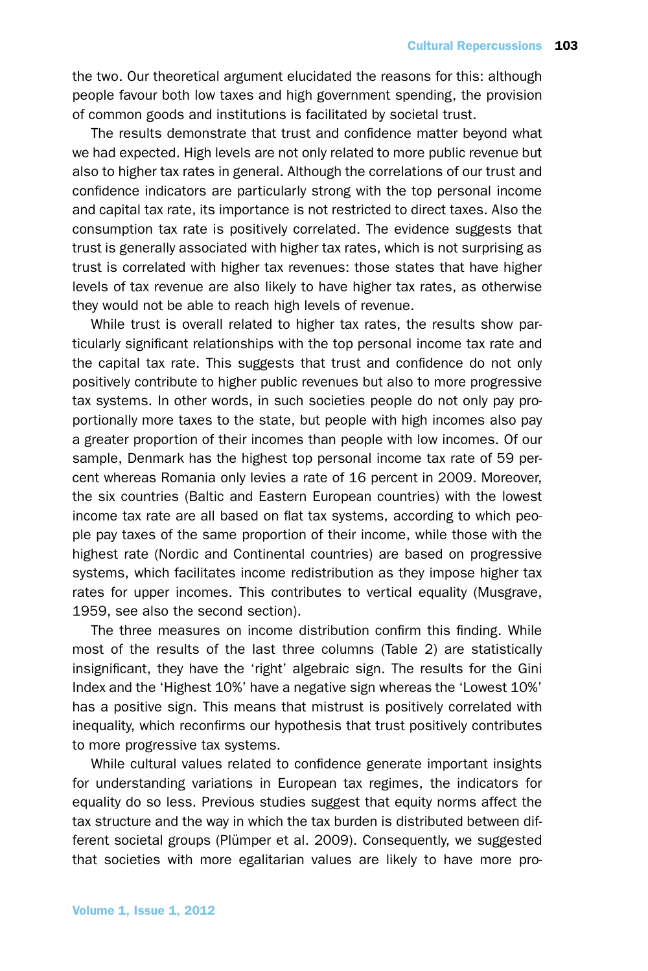the two. Our theoretical argument elucidated the reasons for this: although people favour both low taxes and high government spending, the provision of common goods and institutions is facilitated by societal trust.

The results demonstrate that trust and confidence matter beyond what we had expected. High levels are not only related to more public revenue but also to higher tax rates in general. Although the correlations of our trust and confidence indicators are particularly strong with the top personal income and capital tax rate, its importance is not restricted to direct taxes. Also the consumption tax rate is positively correlated. The evidence suggests that trust is generally associated with higher tax rates, which is not surprising as trust is correlated with higher tax revenues: those states that have higher levels of tax revenue are also likely to have higher tax rates, as otherwise they would not be able to reach high levels of revenue.

While trust is overall related to higher tax rates, the results show particularly significant relationships with the top personal income tax rate and the capital tax rate. This suggests that trust and confidence do not only positively contribute to higher public revenues but also to more progressive tax systems. In other words, in such societies people do not only pay proportionally more taxes to the state, but people with high incomes also pay a greater proportion of their incomes than people with low incomes. Of our sample, Denmark has the highest top personal income tax rate of 59 percent whereas Romania only levies a rate of 16 percent in 2009. Moreover, the six countries (Baltic and Eastern European countries) with the lowest income tax rate are all based on flat tax systems, according to which people pay taxes of the same proportion of their income, while those with the highest rate (Nordic and Continental countries) are based on progressive systems, which facilitates income redistribution as they impose higher tax rates for upper incomes. This contributes to vertical equality (Musgrave, 1959, see also the second section).

The three measures on income distribution confirm this finding. While most of the results of the last three columns (Table 2) are statistically insignificant, they have the 'right' algebraic sign. The results for the Gini Index and the 'Highest 10%' have a negative sign whereas the 'Lowest 10%' has a positive sign. This means that mistrust is positively correlated with inequality, which reconfirms our hypothesis that trust positively contributes to more progressive tax systems.

While cultural values related to confidence generate important insights for understanding variations in European tax regimes, the indicators for equality do so less. Previous studies suggest that equity norms affect the tax structure and the way in which the tax burden is distributed between different societal groups (Plümper et al. 2009). Consequently, we suggested that societies with more egalitarian values are likely to have more pro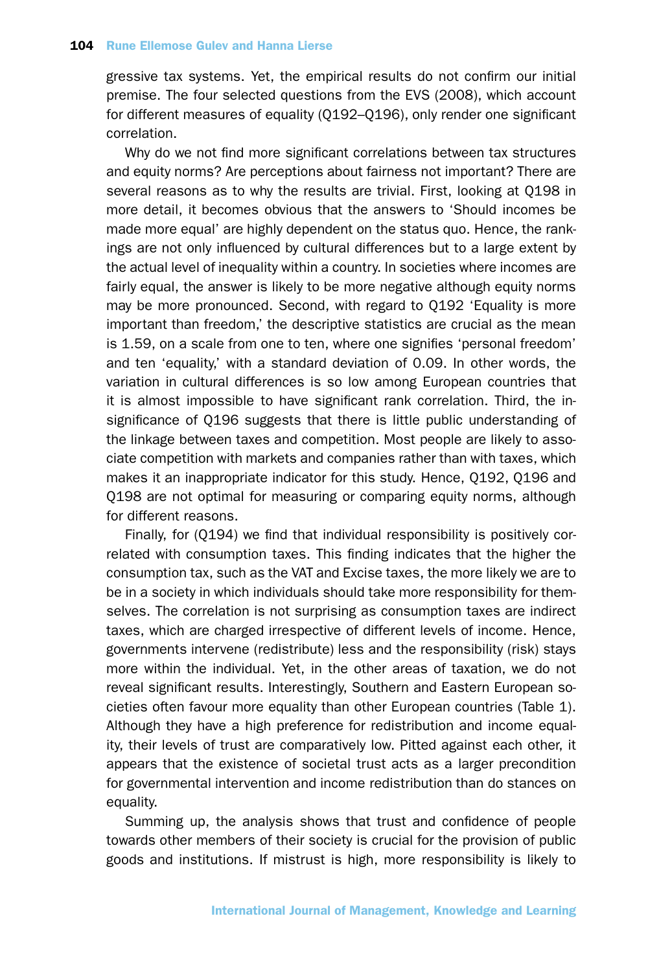gressive tax systems. Yet, the empirical results do not confirm our initial premise. The four selected questions from the EVS (2008), which account for different measures of equality (Q192–Q196), only render one significant correlation.

Why do we not find more significant correlations between tax structures and equity norms? Are perceptions about fairness not important? There are several reasons as to why the results are trivial. First, looking at Q198 in more detail, it becomes obvious that the answers to 'Should incomes be made more equal' are highly dependent on the status quo. Hence, the rankings are not only influenced by cultural differences but to a large extent by the actual level of inequality within a country. In societies where incomes are fairly equal, the answer is likely to be more negative although equity norms may be more pronounced. Second, with regard to Q192 'Equality is more important than freedom,' the descriptive statistics are crucial as the mean is 1.59, on a scale from one to ten, where one signifies 'personal freedom' and ten 'equality,' with a standard deviation of 0.09. In other words, the variation in cultural differences is so low among European countries that it is almost impossible to have significant rank correlation. Third, the insignificance of Q196 suggests that there is little public understanding of the linkage between taxes and competition. Most people are likely to associate competition with markets and companies rather than with taxes, which makes it an inappropriate indicator for this study. Hence, Q192, Q196 and Q198 are not optimal for measuring or comparing equity norms, although for different reasons.

Finally, for (Q194) we find that individual responsibility is positively correlated with consumption taxes. This finding indicates that the higher the consumption tax, such as the VAT and Excise taxes, the more likely we are to be in a society in which individuals should take more responsibility for themselves. The correlation is not surprising as consumption taxes are indirect taxes, which are charged irrespective of different levels of income. Hence, governments intervene (redistribute) less and the responsibility (risk) stays more within the individual. Yet, in the other areas of taxation, we do not reveal significant results. Interestingly, Southern and Eastern European societies often favour more equality than other European countries (Table 1). Although they have a high preference for redistribution and income equality, their levels of trust are comparatively low. Pitted against each other, it appears that the existence of societal trust acts as a larger precondition for governmental intervention and income redistribution than do stances on equality.

Summing up, the analysis shows that trust and confidence of people towards other members of their society is crucial for the provision of public goods and institutions. If mistrust is high, more responsibility is likely to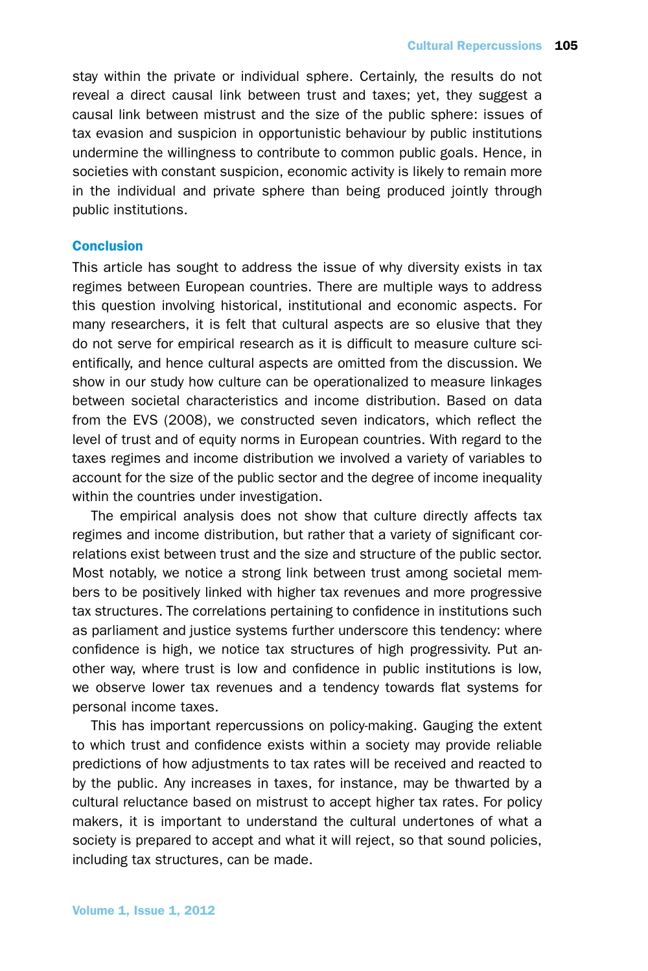stay within the private or individual sphere. Certainly, the results do not reveal a direct causal link between trust and taxes; yet, they suggest a causal link between mistrust and the size of the public sphere: issues of tax evasion and suspicion in opportunistic behaviour by public institutions undermine the willingness to contribute to common public goals. Hence, in societies with constant suspicion, economic activity is likely to remain more in the individual and private sphere than being produced jointly through public institutions.

## **Conclusion**

This article has sought to address the issue of why diversity exists in tax regimes between European countries. There are multiple ways to address this question involving historical, institutional and economic aspects. For many researchers, it is felt that cultural aspects are so elusive that they do not serve for empirical research as it is difficult to measure culture scientifically, and hence cultural aspects are omitted from the discussion. We show in our study how culture can be operationalized to measure linkages between societal characteristics and income distribution. Based on data from the EVS (2008), we constructed seven indicators, which reflect the level of trust and of equity norms in European countries. With regard to the taxes regimes and income distribution we involved a variety of variables to account for the size of the public sector and the degree of income inequality within the countries under investigation.

The empirical analysis does not show that culture directly affects tax regimes and income distribution, but rather that a variety of significant correlations exist between trust and the size and structure of the public sector. Most notably, we notice a strong link between trust among societal members to be positively linked with higher tax revenues and more progressive tax structures. The correlations pertaining to confidence in institutions such as parliament and justice systems further underscore this tendency: where confidence is high, we notice tax structures of high progressivity. Put another way, where trust is low and confidence in public institutions is low, we observe lower tax revenues and a tendency towards flat systems for personal income taxes.

This has important repercussions on policy-making. Gauging the extent to which trust and confidence exists within a society may provide reliable predictions of how adjustments to tax rates will be received and reacted to by the public. Any increases in taxes, for instance, may be thwarted by a cultural reluctance based on mistrust to accept higher tax rates. For policy makers, it is important to understand the cultural undertones of what a society is prepared to accept and what it will reject, so that sound policies, including tax structures, can be made.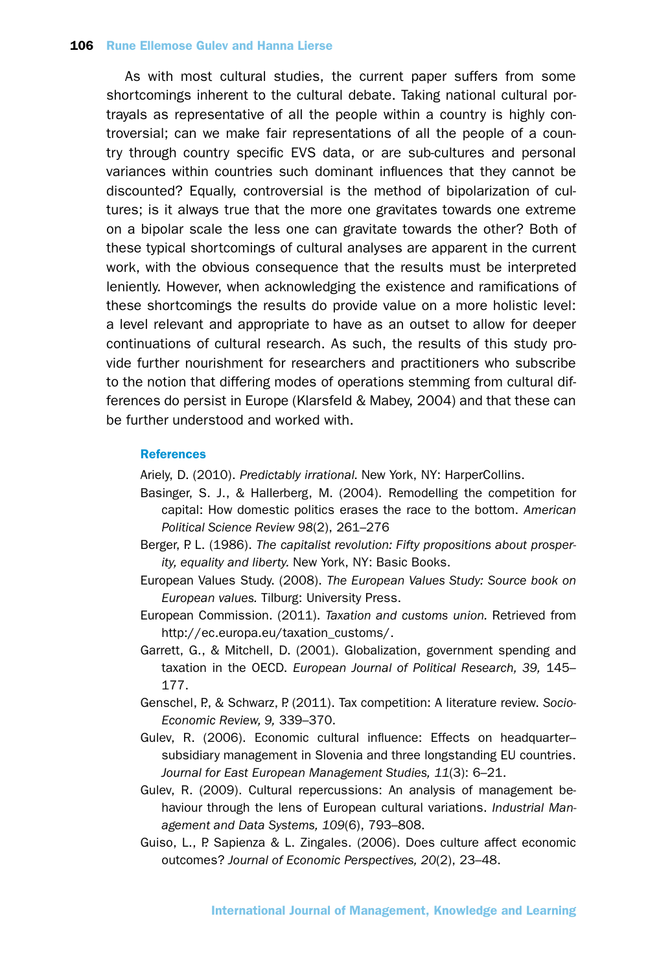As with most cultural studies, the current paper suffers from some shortcomings inherent to the cultural debate. Taking national cultural portrayals as representative of all the people within a country is highly controversial; can we make fair representations of all the people of a country through country specific EVS data, or are sub-cultures and personal variances within countries such dominant influences that they cannot be discounted? Equally, controversial is the method of bipolarization of cultures; is it always true that the more one gravitates towards one extreme on a bipolar scale the less one can gravitate towards the other? Both of these typical shortcomings of cultural analyses are apparent in the current work, with the obvious consequence that the results must be interpreted leniently. However, when acknowledging the existence and ramifications of these shortcomings the results do provide value on a more holistic level: a level relevant and appropriate to have as an outset to allow for deeper continuations of cultural research. As such, the results of this study provide further nourishment for researchers and practitioners who subscribe to the notion that differing modes of operations stemming from cultural differences do persist in Europe (Klarsfeld & Mabey, 2004) and that these can be further understood and worked with.

#### **References**

Ariely, D. (2010). *Predictably irrational.* New York, NY: HarperCollins.

- Basinger, S. J., & Hallerberg, M. (2004). Remodelling the competition for capital: How domestic politics erases the race to the bottom. *American Political Science Review 98*(2), 261–276
- Berger, P. L. (1986). *The capitalist revolution: Fifty propositions about prosperity, equality and liberty.* New York, NY: Basic Books.
- European Values Study. (2008). *The European Values Study: Source book on European values.* Tilburg: University Press.
- European Commission. (2011). *Taxation and customs union.* Retrieved from http://ec.europa.eu/taxation\_customs/.
- Garrett, G., & Mitchell, D. (2001). Globalization, government spending and taxation in the OECD. *European Journal of Political Research, 39,* 145– 177.
- Genschel, P., & Schwarz, P. (2011). Tax competition: A literature review. *Socio-Economic Review, 9,* 339–370.
- Gulev, R. (2006). Economic cultural influence: Effects on headquarter– subsidiary management in Slovenia and three longstanding EU countries. *Journal for East European Management Studies, 11*(3): 6–21.
- Gulev, R. (2009). Cultural repercussions: An analysis of management behaviour through the lens of European cultural variations. *Industrial Management and Data Systems, 109*(6), 793–808.
- Guiso, L., P. Sapienza & L. Zingales. (2006). Does culture affect economic outcomes? *Journal of Economic Perspectives, 20*(2), 23–48.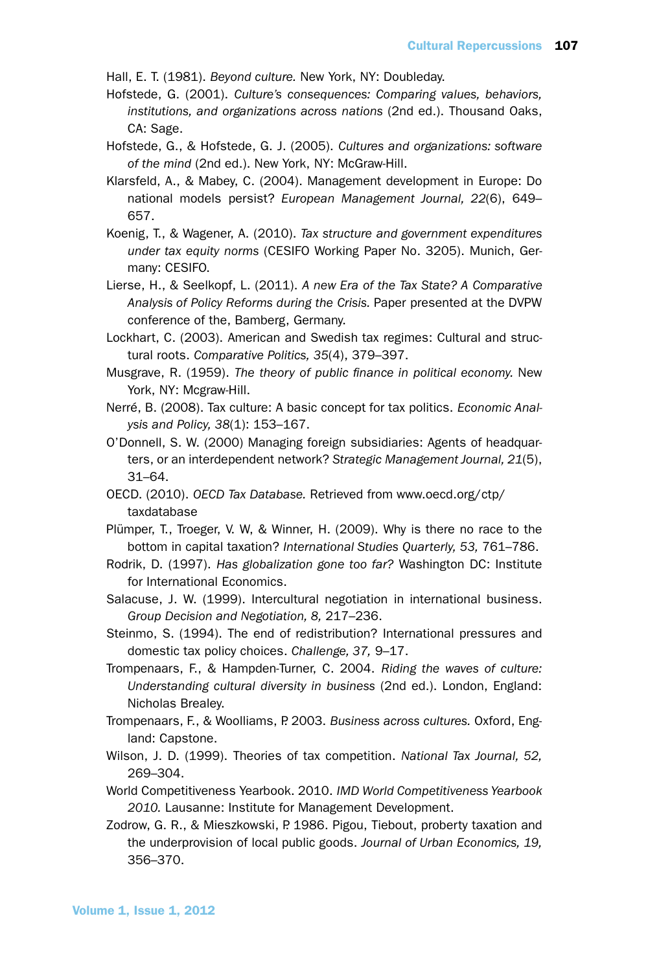Hall, E. T. (1981). *Beyond culture.* New York, NY: Doubleday.

Hofstede, G. (2001). *Culture's consequences: Comparing values, behaviors, institutions, and organizations across nations* (2nd ed.). Thousand Oaks, CA: Sage.

- Hofstede, G., & Hofstede, G. J. (2005). *Cultures and organizations: software of the mind* (2nd ed.). New York, NY: McGraw-Hill.
- Klarsfeld, A., & Mabey, C. (2004). Management development in Europe: Do national models persist? *European Management Journal, 22*(6), 649– 657.
- Koenig, T., & Wagener, A. (2010). *Tax structure and government expenditures under tax equity norms* (CESIFO Working Paper No. 3205). Munich, Germany: CESIFO.
- Lierse, H., & Seelkopf, L. (2011). *A new Era of the Tax State? A Comparative Analysis of Policy Reforms during the Crisis.* Paper presented at the DVPW conference of the, Bamberg, Germany.
- Lockhart, C. (2003). American and Swedish tax regimes: Cultural and structural roots. *Comparative Politics, 35*(4), 379–397.
- Musgrave, R. (1959). *The theory of public finance in political economy.* New York, NY: Mcgraw-Hill.
- Nerré, B. (2008). Tax culture: A basic concept for tax politics. *Economic Analysis and Policy, 38*(1): 153–167.
- O'Donnell, S. W. (2000) Managing foreign subsidiaries: Agents of headquarters, or an interdependent network? *Strategic Management Journal, 21*(5), 31–64.
- OECD. (2010). *OECD Tax Database.* Retrieved from www.oecd.org/ctp/ taxdatabase
- Plümper, T., Troeger, V. W, & Winner, H. (2009). Why is there no race to the bottom in capital taxation? *International Studies Quarterly, 53,* 761–786.
- Rodrik, D. (1997). *Has globalization gone too far?* Washington DC: Institute for International Economics.
- Salacuse, J. W. (1999). Intercultural negotiation in international business. *Group Decision and Negotiation, 8,* 217–236.
- Steinmo, S. (1994). The end of redistribution? International pressures and domestic tax policy choices. *Challenge, 37,* 9–17.
- Trompenaars, F., & Hampden-Turner, C. 2004. *Riding the waves of culture: Understanding cultural diversity in business* (2nd ed.). London, England: Nicholas Brealey.
- Trompenaars, F., & Woolliams, P. 2003. *Business across cultures.* Oxford, England: Capstone.
- Wilson, J. D. (1999). Theories of tax competition. *National Tax Journal, 52,* 269–304.
- World Competitiveness Yearbook. 2010. *IMD World Competitiveness Yearbook 2010.* Lausanne: Institute for Management Development.
- Zodrow, G. R., & Mieszkowski, P. 1986. Pigou, Tiebout, proberty taxation and the underprovision of local public goods. *Journal of Urban Economics, 19,* 356–370.